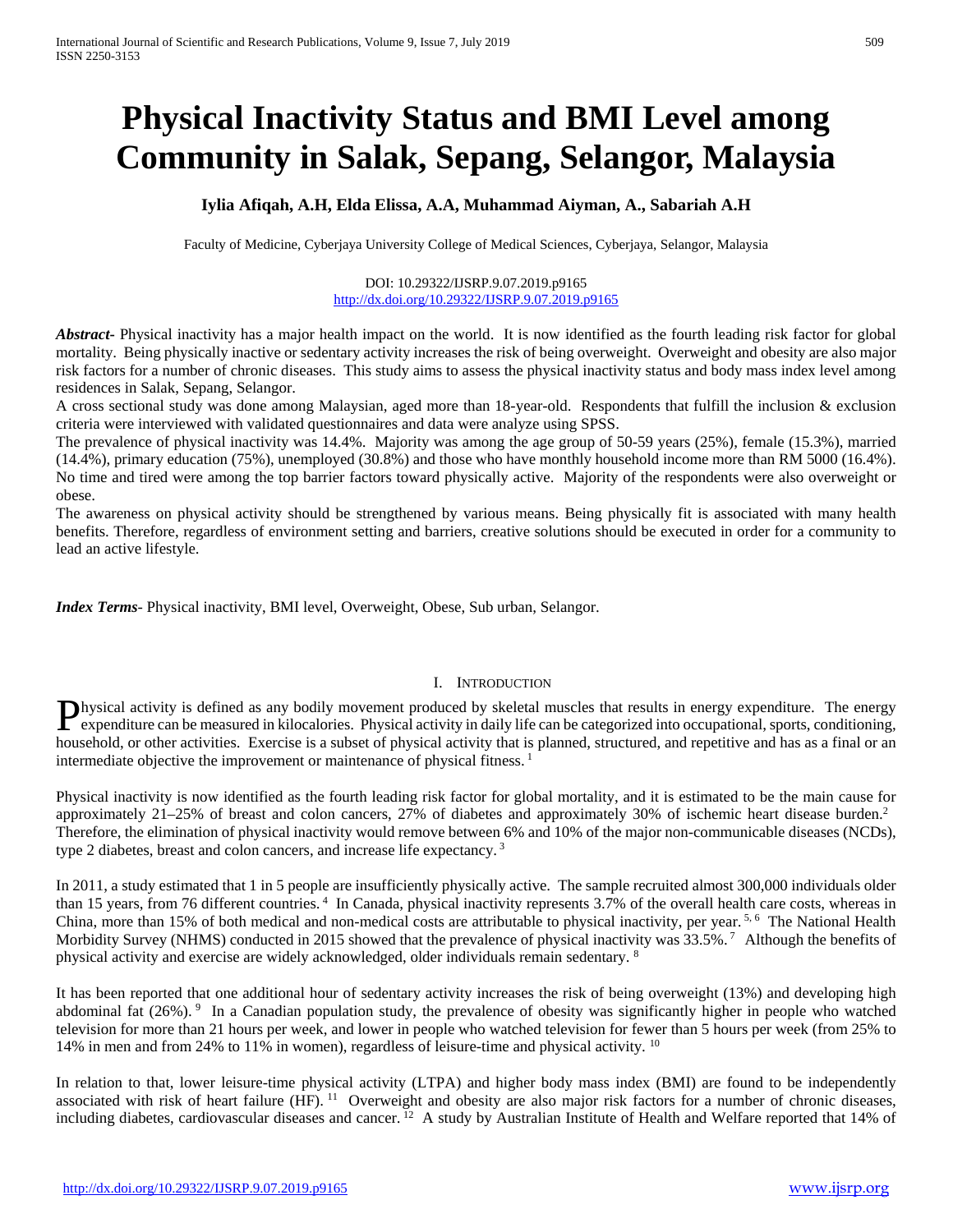# **Physical Inactivity Status and BMI Level among Community in Salak, Sepang, Selangor, Malaysia**

# **Iylia Afiqah, A.H, Elda Elissa, A.A, Muhammad Aiyman, A., Sabariah A.H**

Faculty of Medicine, Cyberjaya University College of Medical Sciences, Cyberjaya, Selangor, Malaysia

#### DOI: 10.29322/IJSRP.9.07.2019.p9165 <http://dx.doi.org/10.29322/IJSRP.9.07.2019.p9165>

*Abstract***-** Physical inactivity has a major health impact on the world. It is now identified as the fourth leading risk factor for global mortality. Being physically inactive or sedentary activity increases the risk of being overweight. Overweight and obesity are also major risk factors for a number of chronic diseases. This study aims to assess the physical inactivity status and body mass index level among residences in Salak, Sepang, Selangor.

A cross sectional study was done among Malaysian, aged more than 18-year-old. Respondents that fulfill the inclusion & exclusion criteria were interviewed with validated questionnaires and data were analyze using SPSS.

The prevalence of physical inactivity was 14.4%. Majority was among the age group of 50-59 years (25%), female (15.3%), married (14.4%), primary education (75%), unemployed (30.8%) and those who have monthly household income more than RM 5000 (16.4%). No time and tired were among the top barrier factors toward physically active. Majority of the respondents were also overweight or obese.

The awareness on physical activity should be strengthened by various means. Being physically fit is associated with many health benefits. Therefore, regardless of environment setting and barriers, creative solutions should be executed in order for a community to lead an active lifestyle.

*Index Terms*- Physical inactivity, BMI level, Overweight, Obese, Sub urban, Selangor.

## I. INTRODUCTION

hysical activity is defined as any bodily movement produced by skeletal muscles that results in energy expenditure. The energy **Physical activity is defined as any bodily movement produced by skeletal muscles that results in energy expenditure. The energy expenditure can be measured in kilocalories. Physical activity in daily life can be categoriz** household, or other activities. Exercise is a subset of physical activity that is planned, structured, and repetitive and has as a final or an intermediate objective the improvement or maintenance of physical fitness.<sup>1</sup>

Physical inactivity is now identified as the fourth leading risk factor for global mortality, and it is estimated to be the main cause for approximately 21–25% of breast and colon cancers, 27% of diabetes and approximately 30% of ischemic heart disease burden. 2 Therefore, the elimination of physical inactivity would remove between 6% and 10% of the major non-communicable diseases (NCDs), type 2 diabetes, breast and colon cancers, and increase life expectancy. <sup>3</sup>

In 2011, a study estimated that 1 in 5 people are insufficiently physically active. The sample recruited almost 300,000 individuals older than 15 years, from 76 different countries.<sup>4</sup> In Canada, physical inactivity represents 3.7% of the overall health care costs, whereas in China, more than 15% of both medical and non-medical costs are attributable to physical inactivity, per year. 5, 6 The National Health Morbidity Survey (NHMS) conducted in 2015 showed that the prevalence of physical inactivity was 33.5%.<sup>7</sup> Although the benefits of physical activity and exercise are widely acknowledged, older individuals remain sedentary. 8

It has been reported that one additional hour of sedentary activity increases the risk of being overweight (13%) and developing high abdominal fat (26%). 9 In a Canadian population study, the prevalence of obesity was significantly higher in people who watched television for more than 21 hours per week, and lower in people who watched television for fewer than 5 hours per week (from 25% to 14% in men and from 24% to 11% in women), regardless of leisure-time and physical activity.  $^{10}$ 

In relation to that, lower leisure-time physical activity (LTPA) and higher body mass index (BMI) are found to be independently associated with risk of heart failure (HF). <sup>11</sup> Overweight and obesity are also major risk factors for a number of chronic diseases, including diabetes, cardiovascular diseases and cancer. <sup>12</sup> A study by Australian Institute of Health and Welfare reported that 14% of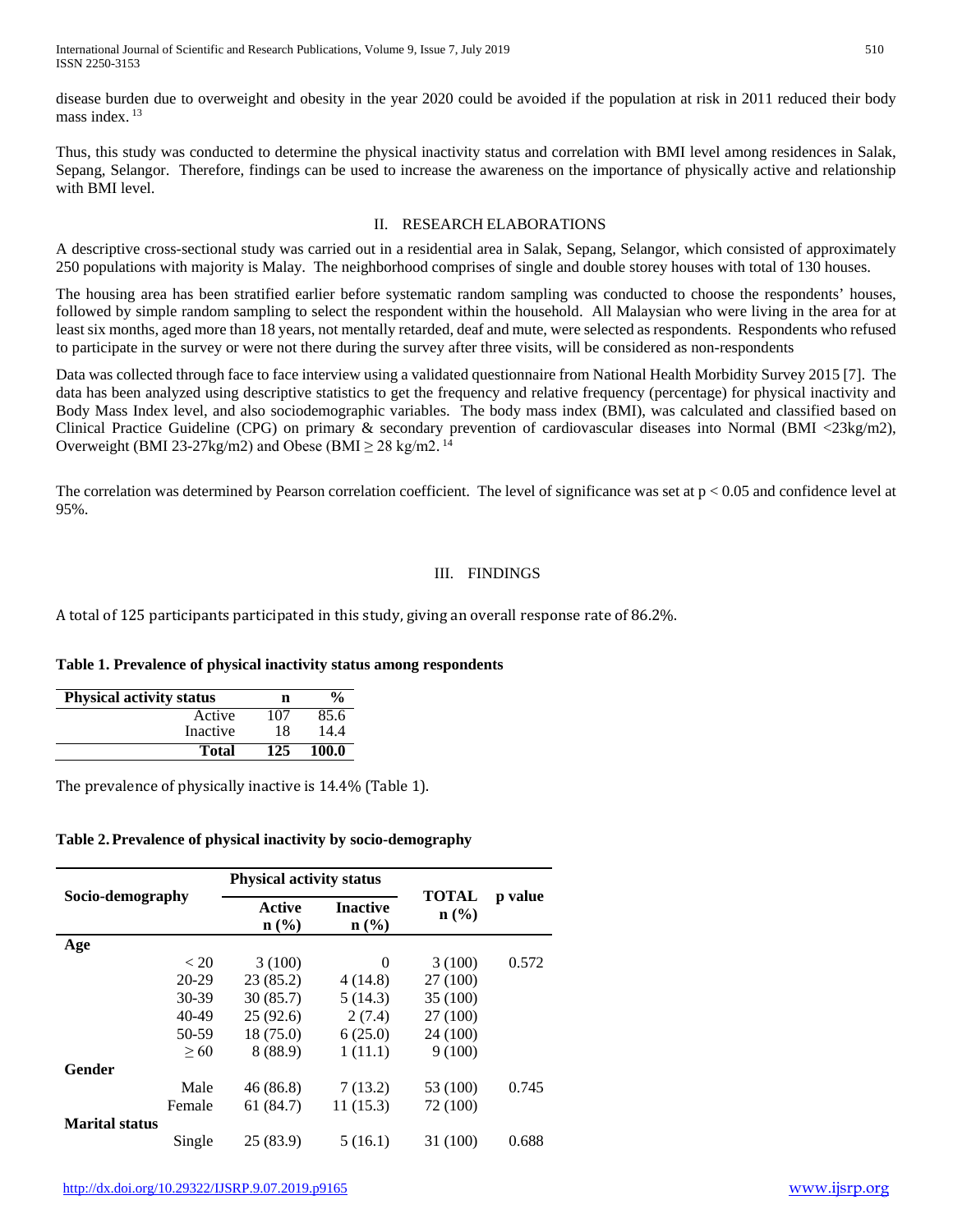disease burden due to overweight and obesity in the year 2020 could be avoided if the population at risk in 2011 reduced their body mass index $13$ 

Thus, this study was conducted to determine the physical inactivity status and correlation with BMI level among residences in Salak, Sepang, Selangor. Therefore, findings can be used to increase the awareness on the importance of physically active and relationship with BMI level.

### II. RESEARCH ELABORATIONS

A descriptive cross-sectional study was carried out in a residential area in Salak, Sepang, Selangor, which consisted of approximately 250 populations with majority is Malay. The neighborhood comprises of single and double storey houses with total of 130 houses.

The housing area has been stratified earlier before systematic random sampling was conducted to choose the respondents' houses, followed by simple random sampling to select the respondent within the household. All Malaysian who were living in the area for at least six months, aged more than 18 years, not mentally retarded, deaf and mute, were selected as respondents. Respondents who refused to participate in the survey or were not there during the survey after three visits, will be considered as non-respondents

Data was collected through face to face interview using a validated questionnaire from National Health Morbidity Survey 2015 [7]. The data has been analyzed using descriptive statistics to get the frequency and relative frequency (percentage) for physical inactivity and Body Mass Index level, and also sociodemographic variables. The body mass index (BMI), was calculated and classified based on Clinical Practice Guideline (CPG) on primary & secondary prevention of cardiovascular diseases into Normal (BMI <23kg/m2), Overweight (BMI 23-27kg/m2) and Obese (BMI  $\geq$  28 kg/m2.<sup>14</sup>

The correlation was determined by Pearson correlation coefficient. The level of significance was set at  $p < 0.05$  and confidence level at 95%.

# III. FINDINGS

A total of 125 participants participated in this study, giving an overall response rate of 86.2%.

## **Table 1. Prevalence of physical inactivity status among respondents**

| <b>Physical activity status</b> | n   | $\frac{6}{9}$ |
|---------------------------------|-----|---------------|
| Active                          | 107 | 85.6          |
| Inactive                        | 18  | 14.4          |
| Total                           | 125 | 100.0         |

The prevalence of physically inactive is 14.4% (Table 1).

## **Table 2.Prevalence of physical inactivity by socio-demography**

|                       | <b>Physical activity status</b>              |                                                |                                             |         |
|-----------------------|----------------------------------------------|------------------------------------------------|---------------------------------------------|---------|
| Socio-demography      | <b>Active</b><br>$n\left(\frac{0}{0}\right)$ | <b>Inactive</b><br>$n\left(\frac{0}{0}\right)$ | <b>TOTAL</b><br>$n\left(\frac{0}{0}\right)$ | p value |
| Age                   |                                              |                                                |                                             |         |
| < 20                  | 3(100)                                       | $\Omega$                                       | 3(100)                                      | 0.572   |
| $20 - 29$             | 23(85.2)                                     | 4(14.8)                                        | 27 (100)                                    |         |
| 30-39                 | 30(85.7)                                     | 5(14.3)                                        | 35 (100)                                    |         |
| $40 - 49$             | 25(92.6)                                     | 2(7.4)                                         | 27 (100)                                    |         |
| 50-59                 | 18 (75.0)                                    | 6(25.0)                                        | 24 (100)                                    |         |
| > 60                  | 8 (88.9)                                     | 1(11.1)                                        | 9(100)                                      |         |
| Gender                |                                              |                                                |                                             |         |
| Male                  | 46(86.8)                                     | 7(13.2)                                        | 53 (100)                                    | 0.745   |
| Female                | 61 (84.7)                                    | 11(15.3)                                       | 72 (100)                                    |         |
| <b>Marital status</b> |                                              |                                                |                                             |         |
| Single                | 25(83.9)                                     | 5(16.1)                                        | 31 (100)                                    | 0.688   |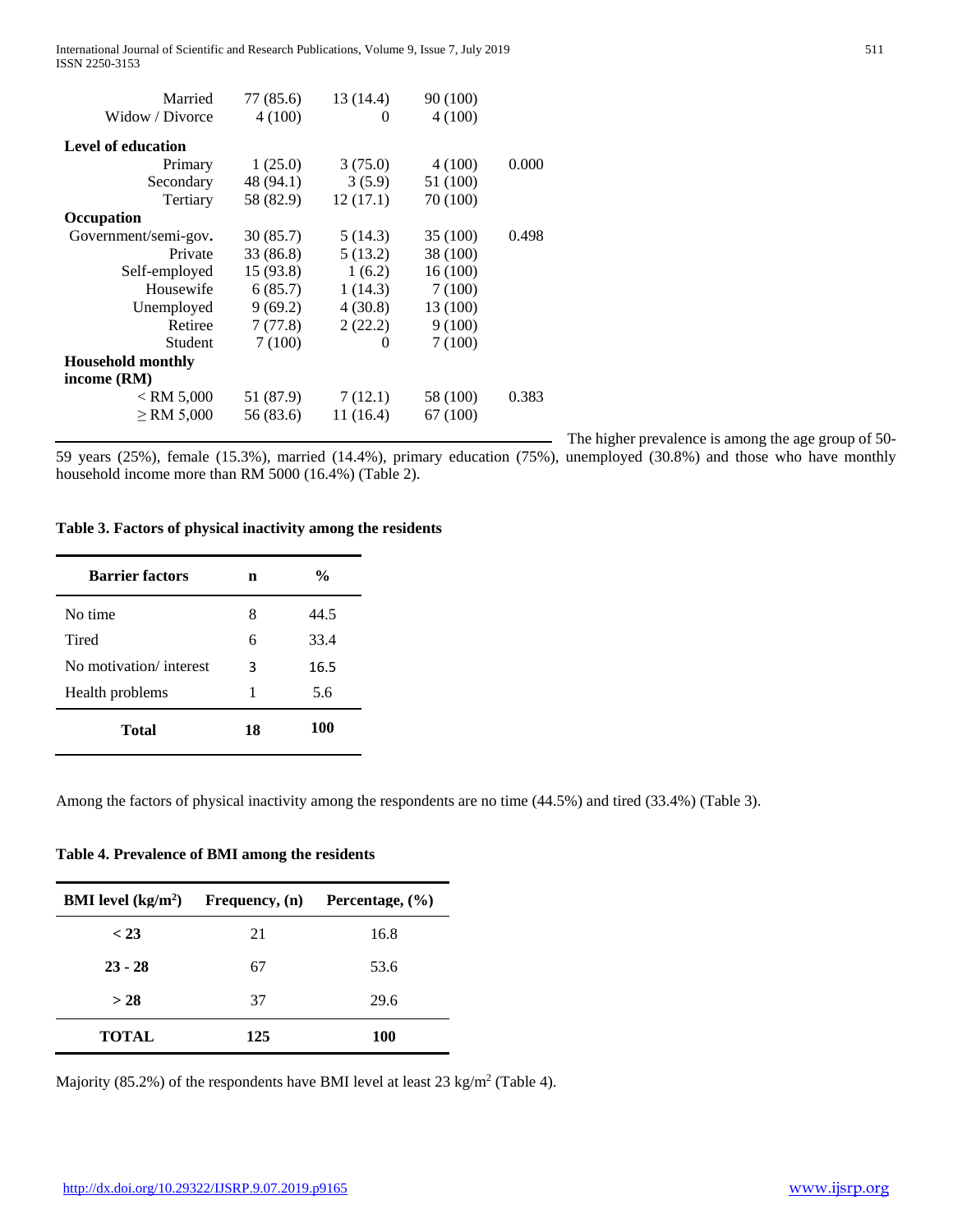International Journal of Scientific and Research Publications, Volume 9, Issue 7, July 2019 511 ISSN 2250-3153

| Married                  | 77 (85.6) | 13 (14.4) | 90 (100) |       |
|--------------------------|-----------|-----------|----------|-------|
| Widow / Divorce          | 4(100)    | $\theta$  | 4(100)   |       |
|                          |           |           |          |       |
| Level of education       |           |           |          |       |
| Primary                  | 1(25.0)   | 3(75.0)   | 4(100)   | 0.000 |
| Secondary                | 48 (94.1) | 3(5.9)    | 51 (100) |       |
| Tertiary                 | 58 (82.9) | 12(17.1)  | 70 (100) |       |
| Occupation               |           |           |          |       |
| Government/semi-gov.     | 30(85.7)  | 5(14.3)   | 35 (100) | 0.498 |
| Private                  | 33 (86.8) | 5(13.2)   | 38 (100) |       |
| Self-employed            | 15(93.8)  | 1(6.2)    | 16(100)  |       |
| Housewife                | 6(85.7)   | 1(14.3)   | 7(100)   |       |
| Unemployed               | 9(69.2)   | 4(30.8)   | 13 (100) |       |
| Retiree                  | 7(77.8)   | 2(22.2)   | 9(100)   |       |
| Student                  | 7(100)    | $\theta$  | 7(100)   |       |
| <b>Household monthly</b> |           |           |          |       |
| income (RM)              |           |           |          |       |
| $<$ RM 5,000             | 51 (87.9) | 7(12.1)   | 58 (100) | 0.383 |
| $\ge$ RM 5,000           | 56 (83.6) | 11(16.4)  | 67 (100) |       |
|                          |           |           |          |       |

The higher prevalence is among the age group of 50-

59 years (25%), female (15.3%), married (14.4%), primary education (75%), unemployed (30.8%) and those who have monthly household income more than RM 5000 (16.4%) (Table 2).

#### **Table 3. Factors of physical inactivity among the residents**

| <b>Barrier factors</b> | n  | $\frac{0}{0}$ |
|------------------------|----|---------------|
| No time                | 8  | 44.5          |
| Tired                  | 6  | 33.4          |
| No motivation/interest | 3  | 16.5          |
| Health problems        | 1  | 5.6           |
| <b>Total</b>           | 18 | 100           |

Among the factors of physical inactivity among the respondents are no time (44.5%) and tired (33.4%) (Table 3).

## **Table 4. Prevalence of BMI among the residents**

| <b>BMI</b> level $(kg/m2)$ | <b>Frequency</b> , (n) | Percentage, $(\% )$ |
|----------------------------|------------------------|---------------------|
| < 23                       | 21                     | 16.8                |
| $23 - 28$                  | 67                     | 53.6                |
| > 28                       | 37                     | 29.6                |
| <b>TOTAL</b>               | 125                    | <b>100</b>          |

Majority (85.2%) of the respondents have BMI level at least 23 kg/m<sup>2</sup> (Table 4).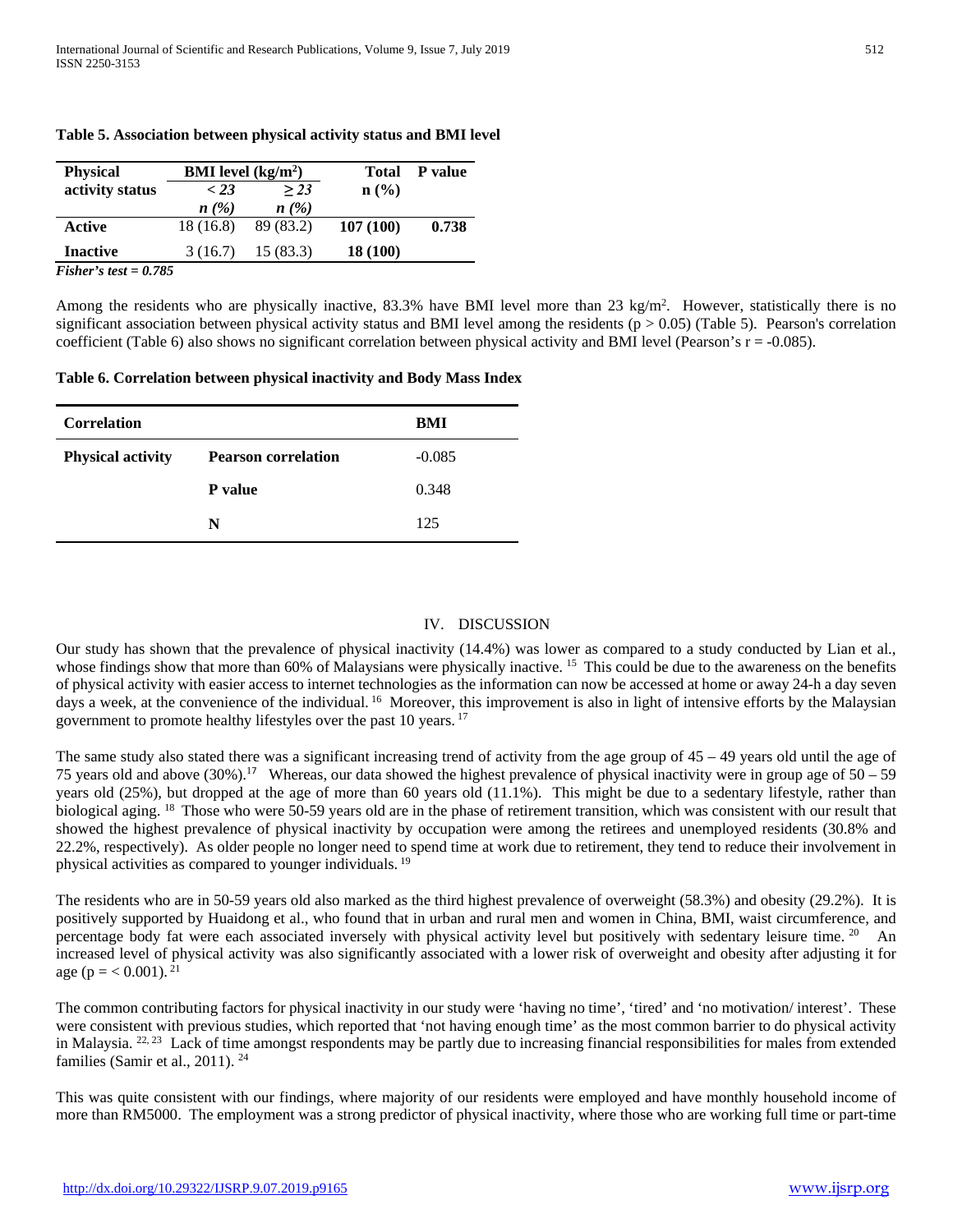| <b>Physical</b>         | <b>BMI</b> level $(kg/m2)$ |           |          | <b>Total</b> P value |
|-------------------------|----------------------------|-----------|----------|----------------------|
| activity status         | < 23                       | > 23      | n (% )   |                      |
|                         | n(%)                       | n(%)      |          |                      |
| Active                  | 18 (16.8)                  | 89 (83.2) | 107(100) | 0.738                |
| <b>Inactive</b>         | 3(16.7)                    | 15(83.3)  | 18 (100) |                      |
| Fisher's test = $0.785$ |                            |           |          |                      |

### **Table 5. Association between physical activity status and BMI level**

Among the residents who are physically inactive, 83.3% have BMI level more than 23 kg/m<sup>2</sup>. However, statistically there is no significant association between physical activity status and BMI level among the residents ( $p > 0.05$ ) (Table 5). Pearson's correlation coefficient (Table 6) also shows no significant correlation between physical activity and BMI level (Pearson's  $r = -0.085$ ).

#### **Table 6. Correlation between physical inactivity and Body Mass Index**

| <b>Correlation</b>       |                            | BMI      |
|--------------------------|----------------------------|----------|
| <b>Physical activity</b> | <b>Pearson correlation</b> | $-0.085$ |
|                          | <b>P</b> value             | 0.348    |
|                          | N                          | 125      |

### IV. DISCUSSION

Our study has shown that the prevalence of physical inactivity (14.4%) was lower as compared to a study conducted by Lian et al., whose findings show that more than 60% of Malaysians were physically inactive. <sup>15</sup> This could be due to the awareness on the benefits of physical activity with easier access to internet technologies as the information can now be accessed at home or away 24-h a day seven days a week, at the convenience of the individual. <sup>16</sup> Moreover, this improvement is also in light of intensive efforts by the Malaysian government to promote healthy lifestyles over the past 10 years. <sup>17</sup>

The same study also stated there was a significant increasing trend of activity from the age group of  $45 - 49$  years old until the age of 75 years old and above  $(30\%)$ .<sup>17</sup> Whereas, our data showed the highest prevalence of physical inactivity were in group age of  $50 - 59$ years old (25%), but dropped at the age of more than 60 years old (11.1%). This might be due to a sedentary lifestyle, rather than biological aging. <sup>18</sup> Those who were 50-59 years old are in the phase of retirement transition, which was consistent with our result that showed the highest prevalence of physical inactivity by occupation were among the retirees and unemployed residents (30.8% and 22.2%, respectively). As older people no longer need to spend time at work due to retirement, they tend to reduce their involvement in physical activities as compared to younger individuals. <sup>19</sup>

The residents who are in 50-59 years old also marked as the third highest prevalence of overweight (58.3%) and obesity (29.2%). It is positively supported by Huaidong et al., who found that in urban and rural men and women in China, BMI, waist circumference, and percentage body fat were each associated inversely with physical activity level but positively with sedentary leisure time. 20 An increased level of physical activity was also significantly associated with a lower risk of overweight and obesity after adjusting it for age ( $p = < 0.001$ ). <sup>21</sup>

The common contributing factors for physical inactivity in our study were 'having no time', 'tired' and 'no motivation/ interest'. These were consistent with previous studies, which reported that 'not having enough time' as the most common barrier to do physical activity in Malaysia. <sup>22, 23</sup> Lack of time amongst respondents may be partly due to increasing financial responsibilities for males from extended families (Samir et al., 2011). 24

This was quite consistent with our findings, where majority of our residents were employed and have monthly household income of more than RM5000. The employment was a strong predictor of physical inactivity, where those who are working full time or part-time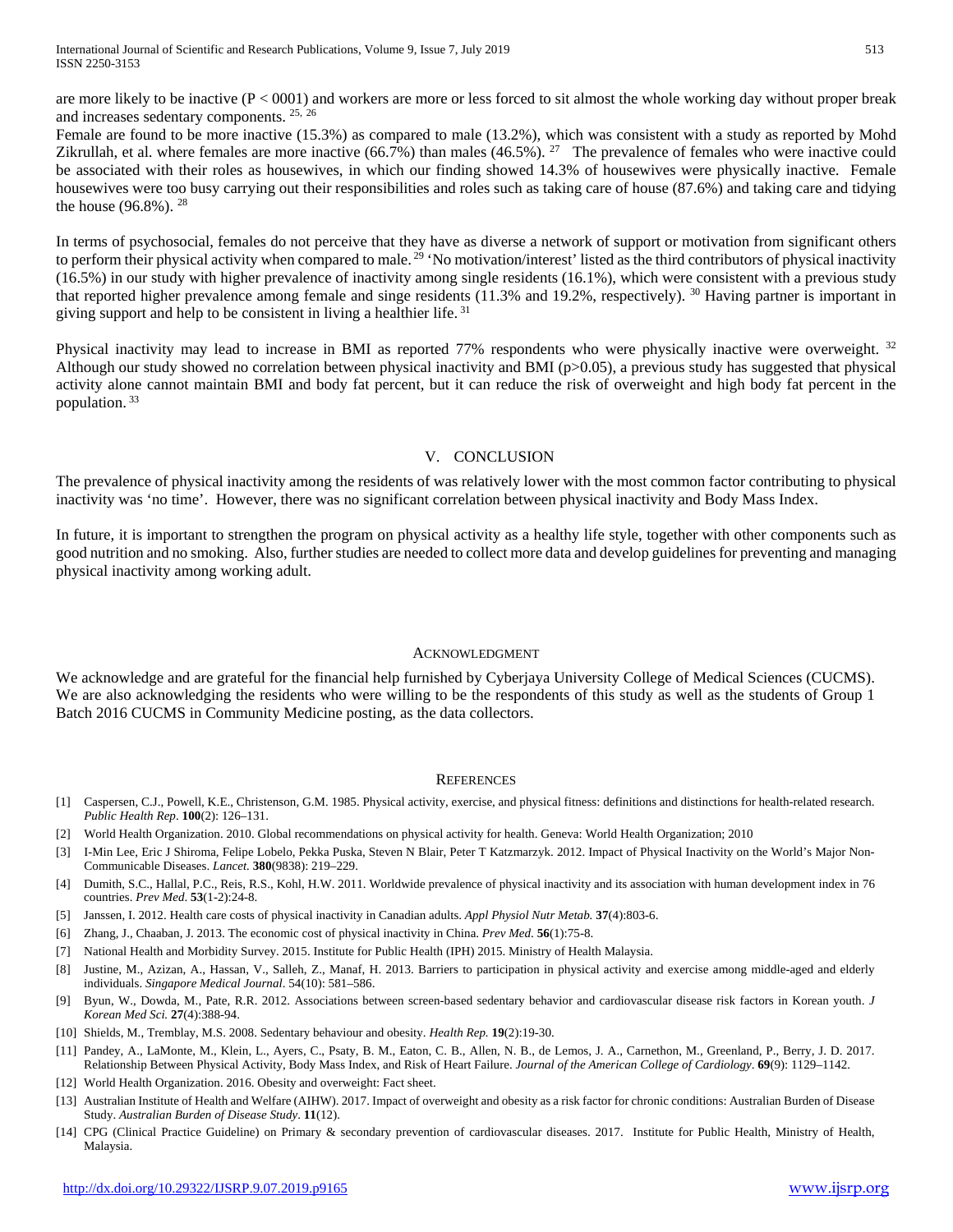are more likely to be inactive  $(P < 0001)$  and workers are more or less forced to sit almost the whole working day without proper break and increases sedentary components. 25, 26

Female are found to be more inactive (15.3%) as compared to male (13.2%), which was consistent with a study as reported by Mohd Zikrullah, et al. where females are more inactive  $(66.7\%)$  than males  $(46.5\%)$ . <sup>27</sup> The prevalence of females who were inactive could be associated with their roles as housewives, in which our finding showed 14.3% of housewives were physically inactive. Female housewives were too busy carrying out their responsibilities and roles such as taking care of house (87.6%) and taking care and tidying the house (96.8%). 28

In terms of psychosocial, females do not perceive that they have as diverse a network of support or motivation from significant others to perform their physical activity when compared to male.<sup>29</sup> 'No motivation/interest' listed as the third contributors of physical inactivity (16.5%) in our study with higher prevalence of inactivity among single residents (16.1%), which were consistent with a previous study that reported higher prevalence among female and singe residents (11.3% and 19.2%, respectively). <sup>30</sup> Having partner is important in giving support and help to be consistent in living a healthier life. <sup>31</sup>

Physical inactivity may lead to increase in BMI as reported 77% respondents who were physically inactive were overweight. <sup>32</sup> Although our study showed no correlation between physical inactivity and BMI ( $p>0.05$ ), a previous study has suggested that physical activity alone cannot maintain BMI and body fat percent, but it can reduce the risk of overweight and high body fat percent in the population. <sup>33</sup>

## V. CONCLUSION

The prevalence of physical inactivity among the residents of was relatively lower with the most common factor contributing to physical inactivity was 'no time'. However, there was no significant correlation between physical inactivity and Body Mass Index.

In future, it is important to strengthen the program on physical activity as a healthy life style, together with other components such as good nutrition and no smoking. Also, further studies are needed to collect more data and develop guidelines for preventing and managing physical inactivity among working adult.

#### ACKNOWLEDGMENT

We acknowledge and are grateful for the financial help furnished by Cyberjaya University College of Medical Sciences (CUCMS). We are also acknowledging the residents who were willing to be the respondents of this study as well as the students of Group 1 Batch 2016 CUCMS in Community Medicine posting, as the data collectors.

#### **REFERENCES**

- [1] Caspersen, C.J., Powell, K.E., Christenson, G.M. 1985. Physical activity, exercise, and physical fitness: definitions and distinctions for health-related research. *Public Health Rep*. **100**(2): 126–131.
- [2] World Health Organization. 2010. Global recommendations on physical activity for health. Geneva: World Health Organization; 2010
- [3] I-Min Lee, Eric J Shiroma, Felipe Lobelo, Pekka Puska, Steven N Blair, Peter T Katzmarzyk. 2012. Impact of Physical Inactivity on the World's Major Non-Communicable Diseases. *Lancet.* **380**(9838): 219–229.
- [4] Dumith, S.C., Hallal, P.C., Reis, R.S., Kohl, H.W. 2011. Worldwide prevalence of physical inactivity and its association with human development index in 76 countries. *Prev Med*. **53**(1-2):24-8.
- [5] Janssen, I. 2012. Health care costs of physical inactivity in Canadian adults. *Appl Physiol Nutr Metab.* **37**(4):803-6.
- [6] Zhang, J., Chaaban, J. 2013. The economic cost of physical inactivity in China. *Prev Med*. **56**(1):75-8.
- [7] National Health and Morbidity Survey. 2015. Institute for Public Health (IPH) 2015. Ministry of Health Malaysia.
- [8] Justine, M., Azizan, A., Hassan, V., Salleh, Z., Manaf, H. 2013. Barriers to participation in physical activity and exercise among middle-aged and elderly individuals. *Singapore Medical Journal*. 54(10): 581–586.
- [9] Byun, W., Dowda, M., Pate, R.R. 2012. Associations between screen-based sedentary behavior and cardiovascular disease risk factors in Korean youth. *J Korean Med Sci.* **27**(4):388-94.
- [10] Shields, M., Tremblay, M.S. 2008. Sedentary behaviour and obesity. *Health Rep.* **19**(2):19-30.
- [11] Pandey, A., LaMonte, M., Klein, L., Ayers, C., Psaty, B. M., Eaton, C. B., Allen, N. B., de Lemos, J. A., Carnethon, M., Greenland, P., Berry, J. D. 2017. Relationship Between Physical Activity, Body Mass Index, and Risk of Heart Failure. *Journal of the American College of Cardiology*. **69**(9): 1129–1142.
- [12] World Health Organization. 2016. Obesity and overweight: Fact sheet.
- [13] Australian Institute of Health and Welfare (AIHW). 2017. Impact of overweight and obesity as a risk factor for chronic conditions: Australian Burden of Disease Study. *Australian Burden of Disease Study*. **11**(12).
- [14] CPG (Clinical Practice Guideline) on Primary & secondary prevention of cardiovascular diseases. 2017. Institute for Public Health, Ministry of Health, Malaysia.